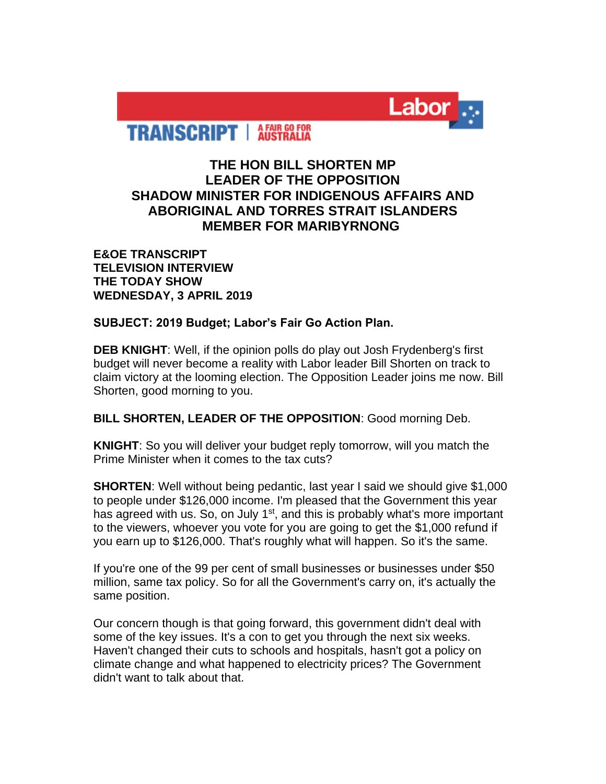

**TRANSCRIPT** | AFAIR GO FOR

## **THE HON BILL SHORTEN MP LEADER OF THE OPPOSITION SHADOW MINISTER FOR INDIGENOUS AFFAIRS AND ABORIGINAL AND TORRES STRAIT ISLANDERS MEMBER FOR MARIBYRNONG**

**E&OE TRANSCRIPT TELEVISION INTERVIEW THE TODAY SHOW WEDNESDAY, 3 APRIL 2019**

**SUBJECT: 2019 Budget; Labor's Fair Go Action Plan.**

**DEB KNIGHT**: Well, if the opinion polls do play out Josh Frydenberg's first budget will never become a reality with Labor leader Bill Shorten on track to claim victory at the looming election. The Opposition Leader joins me now. Bill Shorten, good morning to you.

**BILL SHORTEN, LEADER OF THE OPPOSITION**: Good morning Deb.

**KNIGHT**: So you will deliver your budget reply tomorrow, will you match the Prime Minister when it comes to the tax cuts?

**SHORTEN**: Well without being pedantic, last year I said we should give \$1,000 to people under \$126,000 income. I'm pleased that the Government this year has agreed with us. So, on July 1<sup>st</sup>, and this is probably what's more important to the viewers, whoever you vote for you are going to get the \$1,000 refund if you earn up to \$126,000. That's roughly what will happen. So it's the same.

If you're one of the 99 per cent of small businesses or businesses under \$50 million, same tax policy. So for all the Government's carry on, it's actually the same position.

Our concern though is that going forward, this government didn't deal with some of the key issues. It's a con to get you through the next six weeks. Haven't changed their cuts to schools and hospitals, hasn't got a policy on climate change and what happened to electricity prices? The Government didn't want to talk about that.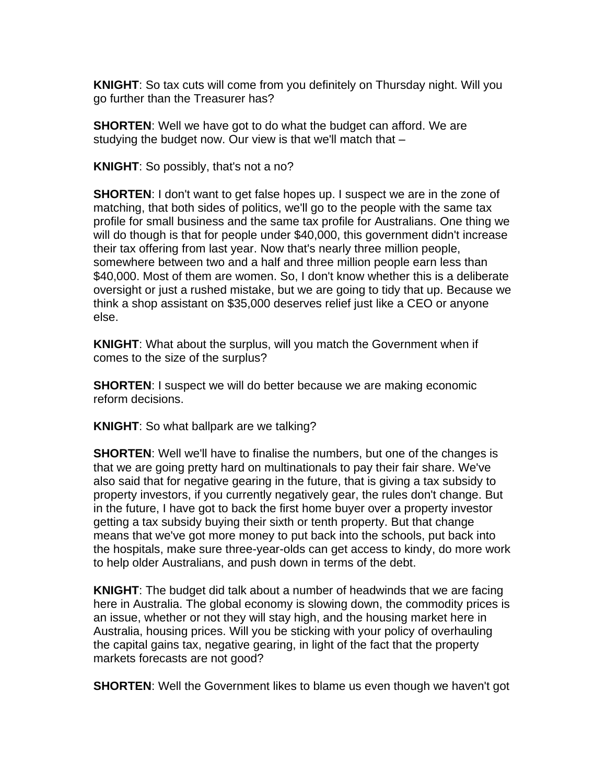**KNIGHT**: So tax cuts will come from you definitely on Thursday night. Will you go further than the Treasurer has?

**SHORTEN**: Well we have got to do what the budget can afford. We are studying the budget now. Our view is that we'll match that –

**KNIGHT**: So possibly, that's not a no?

**SHORTEN**: I don't want to get false hopes up. I suspect we are in the zone of matching, that both sides of politics, we'll go to the people with the same tax profile for small business and the same tax profile for Australians. One thing we will do though is that for people under \$40,000, this government didn't increase their tax offering from last year. Now that's nearly three million people, somewhere between two and a half and three million people earn less than \$40,000. Most of them are women. So, I don't know whether this is a deliberate oversight or just a rushed mistake, but we are going to tidy that up. Because we think a shop assistant on \$35,000 deserves relief just like a CEO or anyone else.

**KNIGHT**: What about the surplus, will you match the Government when if comes to the size of the surplus?

**SHORTEN**: I suspect we will do better because we are making economic reform decisions.

**KNIGHT**: So what ballpark are we talking?

**SHORTEN**: Well we'll have to finalise the numbers, but one of the changes is that we are going pretty hard on multinationals to pay their fair share. We've also said that for negative gearing in the future, that is giving a tax subsidy to property investors, if you currently negatively gear, the rules don't change. But in the future, I have got to back the first home buyer over a property investor getting a tax subsidy buying their sixth or tenth property. But that change means that we've got more money to put back into the schools, put back into the hospitals, make sure three-year-olds can get access to kindy, do more work to help older Australians, and push down in terms of the debt.

**KNIGHT**: The budget did talk about a number of headwinds that we are facing here in Australia. The global economy is slowing down, the commodity prices is an issue, whether or not they will stay high, and the housing market here in Australia, housing prices. Will you be sticking with your policy of overhauling the capital gains tax, negative gearing, in light of the fact that the property markets forecasts are not good?

**SHORTEN:** Well the Government likes to blame us even though we haven't got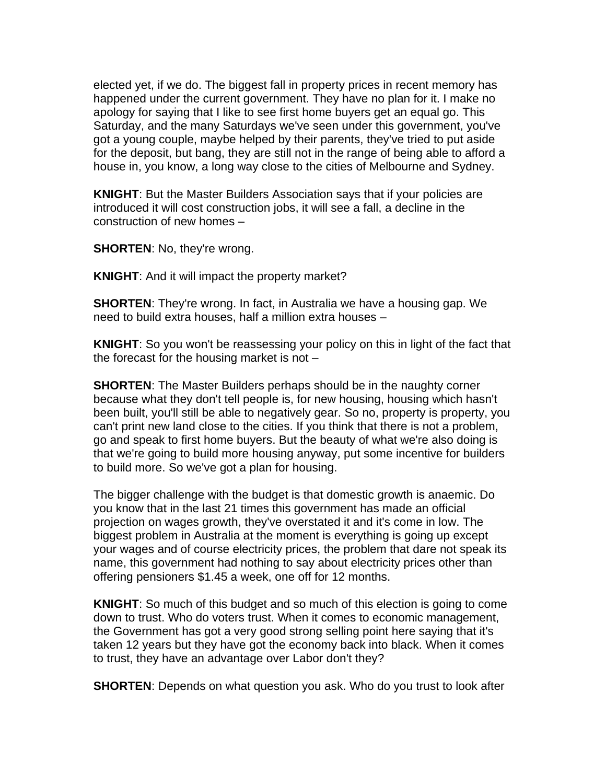elected yet, if we do. The biggest fall in property prices in recent memory has happened under the current government. They have no plan for it. I make no apology for saying that I like to see first home buyers get an equal go. This Saturday, and the many Saturdays we've seen under this government, you've got a young couple, maybe helped by their parents, they've tried to put aside for the deposit, but bang, they are still not in the range of being able to afford a house in, you know, a long way close to the cities of Melbourne and Sydney.

**KNIGHT**: But the Master Builders Association says that if your policies are introduced it will cost construction jobs, it will see a fall, a decline in the construction of new homes –

**SHORTEN**: No, they're wrong.

**KNIGHT**: And it will impact the property market?

**SHORTEN**: They're wrong. In fact, in Australia we have a housing gap. We need to build extra houses, half a million extra houses –

**KNIGHT**: So you won't be reassessing your policy on this in light of the fact that the forecast for the housing market is not –

**SHORTEN**: The Master Builders perhaps should be in the naughty corner because what they don't tell people is, for new housing, housing which hasn't been built, you'll still be able to negatively gear. So no, property is property, you can't print new land close to the cities. If you think that there is not a problem, go and speak to first home buyers. But the beauty of what we're also doing is that we're going to build more housing anyway, put some incentive for builders to build more. So we've got a plan for housing.

The bigger challenge with the budget is that domestic growth is anaemic. Do you know that in the last 21 times this government has made an official projection on wages growth, they've overstated it and it's come in low. The biggest problem in Australia at the moment is everything is going up except your wages and of course electricity prices, the problem that dare not speak its name, this government had nothing to say about electricity prices other than offering pensioners \$1.45 a week, one off for 12 months.

**KNIGHT**: So much of this budget and so much of this election is going to come down to trust. Who do voters trust. When it comes to economic management, the Government has got a very good strong selling point here saying that it's taken 12 years but they have got the economy back into black. When it comes to trust, they have an advantage over Labor don't they?

**SHORTEN:** Depends on what question you ask. Who do you trust to look after